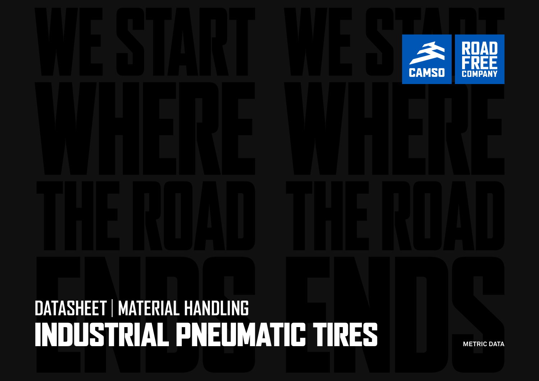# **DATASHEET** | **MATERIAL HANDLING**  INDUSTRIAL PNEUMATIC TIRES **METRIC DATA**

**CAMSO**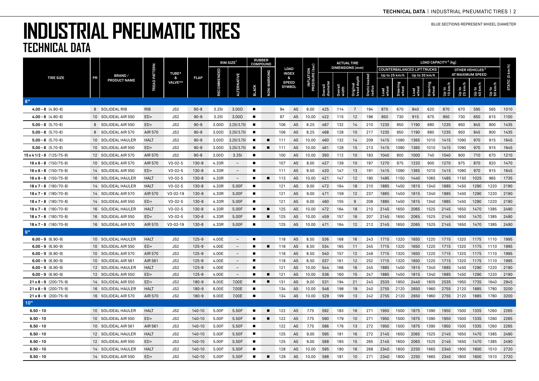|                                                              |    |                                           | <b><i>TREAD PATTERN</i></b> | <b>TUBE*</b><br>ጼ      | <b>FLAP</b>        | $RIM$ SIZE <sup>1</sup> |                                 | <b>RUBBER</b><br><b>COMPOUND</b> |                |                      |                                  |                                    |                     |                        | <b>ACTUAL TIRE</b>      |                  | LOAD CAPACITY <sup>2</sup> (kg) |                   |                                    |                   |                             |                  |                  |                |                 |  |
|--------------------------------------------------------------|----|-------------------------------------------|-----------------------------|------------------------|--------------------|-------------------------|---------------------------------|----------------------------------|----------------|----------------------|----------------------------------|------------------------------------|---------------------|------------------------|-------------------------|------------------|---------------------------------|-------------------|------------------------------------|-------------------|-----------------------------|------------------|------------------|----------------|-----------------|--|
|                                                              |    |                                           |                             |                        |                    |                         |                                 |                                  |                | LOAD<br><b>INDEX</b> |                                  | <b>INFLATION<br/>RESSURE (bar)</b> |                     | <b>DIMENSIONS</b> (mm) |                         |                  |                                 |                   | <b>COUNTERBALANCED LIFT TRUCKS</b> |                   | OTHER VEHICLES <sup>3</sup> |                  |                  |                |                 |  |
| <b>TIRE SIZE</b>                                             | PR | <b>BRAND/</b><br>PRODUCT NAME             |                             |                        |                    |                         |                                 |                                  |                |                      | &                                |                                    |                     |                        |                         | loaded           |                                 | Up to 25 km/h     | Up to 35 km/h                      |                   |                             |                  | AT MAXIMUM SPEED |                |                 |  |
|                                                              |    |                                           |                             | VALVE**                |                    | <b>SOMMEND:</b>         | 보                               | <b>BLACK</b>                     | NON-MARKING    |                      | <b>SPEED</b><br><b>SYMBOL</b>    |                                    | Overall<br>diameter |                        | Original<br>tread depth | Static<br>radius | Load<br>wheel                   | Steering<br>wheel | Load<br>wheel                      | Steering<br>wheel | Up to<br>10 km/             | Սբ to<br>25 km/h | Up to<br>40 km/h | Up to<br>50 km | STATIC (0 km/h) |  |
| 8"                                                           |    |                                           |                             |                        |                    |                         |                                 |                                  |                |                      |                                  |                                    |                     |                        |                         |                  |                                 |                   |                                    |                   |                             |                  |                  |                |                 |  |
| $4.00 - 8$ $(4.80 - 8)$                                      |    | 8 SOLIDEAL RIB                            | <b>RIB</b>                  | JS2                    | $90 - 8$           | 3.251                   | 3.00D                           | $\blacksquare$                   |                | 94                   | A <sub>5</sub>                   | 9.00                               | 425                 | 114                    | 7                       | 194              | 870                             | 670               | 840                                | 620               | 870                         | 670              | 595              | 565            | 1010            |  |
| $4.00 - 8$ $(4.80 - 8)$                                      |    | 10 SOLIDEAL AIR 550                       | $ED+$                       | JS2                    | $90 - 8$           | 3.251                   | 3.00D                           | п                                |                | 97                   | A <sub>5</sub>                   | 10.00                              | 422                 | 115                    | 12                      | 196              | 950                             | 730               | 915                                | 675               | 950                         | 730              | 650              | 615            | 1100            |  |
| $5.00 - 8$ (5.70-8)                                          |    | 8 SOLIDEAL AIR 550                        | $ED+$                       | JS2                    | $90 - 8$           | 3.00D                   | 3.25//3.75                      | п                                |                | 106                  | A <sub>5</sub>                   | 8.25                               | 467                 | 132                    | 14                      | 210              | 1235                            | 950               | 1190                               | 880               | 1235                        | 950              | 845              | 800            | 1435            |  |
| $5.00 - 8$ (5.70-8)                                          |    | 8 SOLIDEAL AIR 570                        | AIR 570                     | JS2                    | $90 - 8$           | 3.00D                   | 3.25//3.75                      | п                                |                | 106                  | A <sub>5</sub>                   | 8.25                               | 468                 | 128                    | 10                      | 217              | 1235                            | 950               | 1190                               | 880               | 1235                        | 950              | 845              | 800            | 1435            |  |
| $5.00 - 8$ (5.70-8)                                          |    | 10 SOLIDEAL HAULER                        | <b>HALT</b>                 | JS <sub>2</sub>        | $90 - 8$           | 3.00D                   | 3.25//3.75                      |                                  | ۰              | 111                  | A <sub>5</sub>                   | 10.00                              | 460                 | 132                    | 14                      | 209              | 1415                            | 1090              | 1365                               | 1010              | 1415                        | 1090             | 970              | 915            | 1645            |  |
| $5.00 - 8$ (5.70-8)                                          |    | 10 SOLIDEAL AIR 550                       | $ED+$                       | JS2                    | $90 - 8$           | 3.00D                   | 3.25//3.75                      | п                                | п              | 111                  | A <sub>5</sub>                   | 10.00                              | 461                 | 128                    | 15                      | 213              | 1415                            | 1090              | 1365                               | 1010              | 1415                        | 1090             | 970              | 915            | 1645            |  |
| $15 \times 41/2 - 8$ (125/75-8)                              |    | 12 SOLIDEAL AIR 570                       | AIR 570                     | JS2                    | $90 - 8$           | 3.00D                   | 3.251                           | п                                |                | 100                  | A <sub>5</sub>                   | 10.00                              | 393                 | 112                    | 10                      | 183              | 1040                            | 800               | 1000                               | 740               | 1040                        | 800              | 710              | 670            | 1210            |  |
| $16 \times 6 - 8$ (150/75-8)                                 |    | 10 SOLIDEAL AIR 570                       | AIR 570                     | $V3 - 02 - 5$          | $130 - 8$          | 4.33R                   | $\overline{a}$                  | п                                |                | 107                  | A <sub>5</sub>                   | 8.00                               | 427                 | 139                    | 10                      | 197              | 1270                            | 975               | 1220                               | 900               | 1270                        | 975              | 870              | 820            | 1470            |  |
| $16 \times 6 - 8$ (150/75-8)                                 |    | 14 SOLIDEAL AIR 550                       | $ED+$                       | $V3 - 02 - 5$          | $130 - 8$          | 4.33R                   | $\overline{\phantom{a}}$        | п                                |                | 111                  | A <sub>5</sub>                   | 9.50                               | 420                 | 147                    | 13                      | 191              | 1415                            | 1090              | 1365                               | 1010              | 1415                        | 1090             | 970              | 915            | 1645            |  |
| $16 \times 6 - 8$ (150/75-8)                                 |    | 16 SOLIDEAL HAULER                        | <b>HALT</b>                 | $V3 - 02 - 5$          | $130 - 8$          | 4.33R                   | $\overline{\phantom{a}}$        | п                                | п              | 113                  | A <sub>5</sub>                   | 10.00                              | 421                 | 147                    | 12                      | 190              | 1495                            | 1150              | 1440                               | 1065              | 1495                        | 1150             | 1025             | 965            | 1735            |  |
| $18 \times 7 - 8$ (180/70-8)                                 |    | 14 SOLIDEAL HAULER                        | <b>HALT</b>                 | $V3 - 02 - 5$          | $130 - 8$          | 4.33R                   | 5.00F                           | ٠                                |                | 121                  | A <sub>5</sub>                   | 9.00                               | 472                 | 164                    | 18                      | 210              | 1885                            | 1450              | 1815                               | 1340              | 1885                        | 1450             | 1290             | 1220           | 2190            |  |
| $18 \times 7 - 8$ (180/70-8)                                 |    | 14 SOLIDEAL AIR 570                       | AIR 570                     | $V3 - 02 - 19$         | $130 - 8$          | 4.33R                   | 5.00F                           | $\blacksquare$                   |                | 121                  | A <sub>5</sub>                   | 9.00                               | 471                 | 159                    | 12                      | 237              | 1885                            | 1450              | 1815                               | 1340              | 1885                        | 1450             | 1290             | 1220           | 2190            |  |
| $18 \times 7 - 8$ (180/70-8)                                 |    | 14 SOLIDEAL AIR 550                       | $ED+$                       | $V3 - 02 - 5$          | $130 - 8$          | 4.33R                   | 5.00F                           | п                                |                | 121                  | A <sub>5</sub>                   | 9.00                               | 460                 | 155                    | -9                      | 208              | 1885                            | 1450              | 1815                               | 1340              | 1885                        | 1450             | 1290             | 1220           | 2190            |  |
| $18 \times 7 - 8$ (180/70-8)                                 |    | 16 SOLIDEAL HAULER                        | <b>HALT</b>                 | $V3 - 02 - 5$          | $130 - 8$          | 4.33R                   | 5.00F                           | $\blacksquare$                   | п              | 125                  | A <sub>5</sub>                   | 10.00                              | 472                 | 164                    | 18                      | 210              | 2145                            | 1650              | 2065                               | 1525              | 2145                        | 1650             | 1470             | 1385           | 2490            |  |
| $18 \times 7 - 8$ (180/70-8)                                 |    | 16 SOLIDEAL AIR 550                       | $ED+$                       | $V3 - 02 - 5$          | $130 - 8$          | 4.33R                   | 5.00F                           | п                                |                | 125                  | A <sub>5</sub>                   | 10.00                              | 459                 | 157                    | 16                      | 207              | 2145                            | 1650              | 2065                               | 1525              | 2145                        | 1650             | 1470             | 1385           | 2490            |  |
| $18 \times 7 - 8$ (180/70-8)                                 |    | 16 SOLIDEAL AIR 570                       | AIR 570                     | $V3 - 02 - 19$         | $130 - 8$          | 4.33R                   | 5.00F                           | п                                |                | 125                  | A <sub>5</sub>                   | 10.00                              | 471                 | 164                    | 12                      | 212              | 2145                            | 1650              | 2065                               | 1525              | 2145                        | 1650             | 1470             | 1385           | 2490            |  |
|                                                              |    |                                           |                             |                        |                    |                         |                                 |                                  |                |                      |                                  |                                    |                     |                        |                         |                  |                                 |                   |                                    |                   |                             |                  |                  |                |                 |  |
| $6.00 - 9$ (6.90-9)                                          |    | 10 SOLIDEAL HAULER                        | <b>HALT</b>                 | JS2                    | $125 - 9$          | 4.00E                   | $\overline{\phantom{a}}$        |                                  |                | 118                  | A <sub>5</sub>                   | 8.50                               | 536                 | 168                    | 16                      | 243              | 1715                            | 1320              | 1650                               | 1220              | 1715                        | 1320             | 1175             | 1110           | 1995            |  |
| $6.00 - 9$ $(6.90 - 9)$                                      |    | 10 SOLIDEAL AIR 550                       | $ED+$                       | JS2                    | $125 - 9$          | 4.00E                   | $\hspace{0.1mm}-\hspace{0.1mm}$ | п                                | $\blacksquare$ | 118                  | A <sub>5</sub>                   | 8.50                               | 534                 | 165                    | 11                      | 245              | 1715                            | 1320              | 1650                               | 1220              | 1715                        | 1320             | 1175             | 1110           | 1995            |  |
| $6.00 - 9$ (6.90-9)                                          |    | 10 SOLIDEAL AIR 570                       | AIR 570                     | JS2                    | $125 - 9$          | 4.00E                   | $\overline{\phantom{a}}$        | п                                |                | 118                  | A <sub>5</sub>                   | 8.50                               | 540                 | 157                    | 12                      | 249              | 1715                            | 1320              | 1650                               | 1220              | 1715                        | 1320             | 1175             | 1110           | 1995            |  |
| $6.00 - 9$ (6.90-9)                                          |    | 10 SOLIDEAL AIR 561                       | AIR 561                     | JS <sub>2</sub>        | $125 - 9$          | 4.00E                   | $\overline{\phantom{a}}$        |                                  |                | 118                  | A <sub>5</sub>                   | 8.50                               | 537                 | 161                    | 12                      | 252              | 1715                            | 1320              | 1650                               | 1220              | 1715                        | 1320             | 1175             | 1110           | 1995            |  |
| $6.00 - 9$ (6.90-9)                                          |    | 12 SOLIDEAL HAULER                        | <b>HALT</b>                 | JS <sub>2</sub>        | $125 - 9$          | 4.00E                   | $\overline{\phantom{a}}$        | п                                |                | 121                  | A <sub>5</sub>                   | 10.00                              | 544                 | 166                    | 16                      | 245              | 1885                            | 1450              | 1815                               | 1340              | 1885                        | 1450             | 1290             | 1220           | 2190            |  |
| $6.00 - 9$ $(6.90 - 9)$                                      |    | 12 SOLIDEAL AIR 550                       | $ED+$                       | JS <sub>2</sub>        | $125 - 9$          | 4.00E                   | $\overline{\phantom{m}}$        | п                                | $\blacksquare$ | 121                  | A <sub>5</sub>                   | 10.00                              | 536                 | 160                    | 15                      | 247              | 1885                            | 1450              | 1815                               | 1340              | 1885                        | 1450             | 1290             | 1220           | 2190            |  |
| $21 \times 8 - 9$ (200/75-9)                                 |    | 14 SOLIDEAL AIR 550                       | $ED+$<br><b>HALT</b>        | JS <sub>2</sub><br>JS2 | 180-9              | 6.00E                   | 7.00E<br>7.00E                  | п<br>п                           |                | 131<br>134           | A <sub>5</sub><br>A <sub>5</sub> | 9.00<br>10.00                      | 531<br>546          | 194<br>198             | 21<br>19                | 240<br>240       | 2535<br>2755                    | 1950<br>2120      | 2440<br>2650                       | 1805<br>1960      | 2535<br>2755                | 1950<br>2120     | 1735<br>1885     | 1640<br>1780   | 2945<br>3200    |  |
| $21 \times 8 - 9$ (200/75-9)<br>$21 \times 8 - 9$ (200/75-9) |    | 16 SOLIDEAL HAULER<br>16 SOLIDEAL AIR 570 | AIR 570                     | JS <sub>2</sub>        | 180-9<br>$180 - 9$ | 6.00E<br>6.00E          | 7.00E                           | $\blacksquare$                   |                | 134                  | A <sub>5</sub>                   | 10.00                              | 529                 | 199                    | 13                      | 242              | 2755                            | 2120              | 2650                               | 1960              | 2755                        | 2120             | 1885             | 1780           | 3200            |  |
| 10"                                                          |    |                                           |                             |                        |                    |                         |                                 |                                  |                |                      |                                  |                                    |                     |                        |                         |                  |                                 |                   |                                    |                   |                             |                  |                  |                |                 |  |
| $6.50 - 10$                                                  |    | 10 SOLIDEAL HAULER                        | <b>HALT</b>                 | JS <sub>2</sub>        | 140-10             | 5.00F                   | 5.50F                           | $\blacksquare$                   | п              | 122                  | A <sub>5</sub>                   | 7.75                               | 592                 | 183                    | 16                      | 271              | 1950                            | 1500              | 1875                               | 1390              | 1950                        | 1500             | 1335             | 1260           | 2265            |  |
| $6.50 - 10$                                                  |    | 10 SOLIDEAL AIR 550                       | $ED+$                       | JS2                    | 140-10             | 5.00F                   | 5.50F                           | $\blacksquare$                   | п              | 122                  | A <sub>5</sub>                   | 7.75                               | 590                 | 179                    | 10                      | 271              | 1950                            | 1500              | 1875                               | 1390              | 1950                        | 1500             | 1335             | 1260           | 2265            |  |
| $6.50 - 10$                                                  |    | 10 SOLIDEAL AIR 561                       | AIR 561                     | JS <sub>2</sub>        | 140-10             | 5.00F                   | 5.50F                           | ٠                                |                | 122                  | A <sub>5</sub>                   | 7.75                               | 586                 | 176                    | 13                      | 272              | 1950                            | 1500              | 1875                               | 1390              | 1950                        | 1500             | 1335             | 1260           | 2265            |  |
| $6.50 - 10$                                                  |    | 12 SOLIDEAL HAULER                        | <b>HALT</b>                 | JS <sub>2</sub>        | 140-10             | 5.00F                   | 5.50F                           | $\blacksquare$                   |                | 125                  | A <sub>5</sub>                   | 9.00                               | 595                 | 181                    | 16                      | 272              | 2145                            | 1650              | 2065                               | 1525              | 2145                        | 1650             | 1470             | 1385           | 2490            |  |
| $6.50 - 10$                                                  |    | 12 SOLIDEAL AIR 550                       | $ED+$                       | JS2                    | 140-10             | 5.00F                   | 5.50F                           | $\blacksquare$                   |                | 125                  | A <sub>5</sub>                   | 9.00                               | 588                 | 185                    | 15                      | 265              | 2145                            | 1650              | 2065                               | 1525              | 2145                        | 1650             | 1470             | 1385           | 2490            |  |
| $6.50 - 10$                                                  |    | 14 SOLIDEAL HAULER                        | <b>HALT</b>                 | JS <sub>2</sub>        | 140-10             | 5.00F                   | 5.50F                           | п                                |                | 128                  | A <sub>5</sub>                   | 10.00                              | 595                 | 180                    | 16                      | 268              | 2340                            | 1800              | 2250                               | 1665              | 2340                        | 1800             | 1600             | 1510           | 2720            |  |
| $6.50 - 10$                                                  |    | 14 SOLIDEAL AIR 550                       | $ED+$                       | JS <sub>2</sub>        | $140 - 10$         | 5.00F                   | 5.50F                           | п                                |                | 128                  | A <sub>5</sub>                   | 10.00                              | 588                 | 181                    | 10                      | 271              | 2340                            | 1800              | 2250                               | 1665              | 2340                        | 1800             | 1600             | 1510           | 2720            |  |
|                                                              |    |                                           |                             |                        |                    |                         |                                 |                                  |                |                      |                                  |                                    |                     |                        |                         |                  |                                 |                   |                                    |                   |                             |                  |                  |                |                 |  |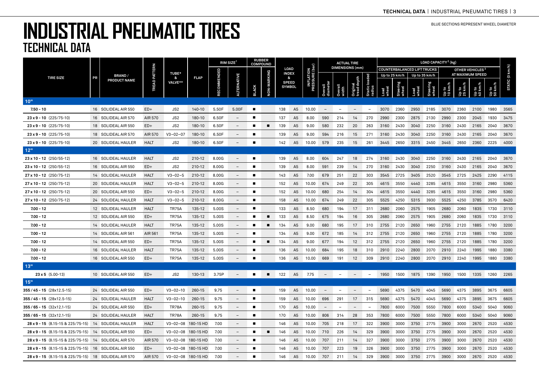|                                                       |    | <b>BRAND/</b><br>PRODUCT NAME | <b>TREAD PATTERN</b> | <b>TUBE*</b><br>&<br>VALVE** |             | <b>RUBBER</b><br>$RIM$ SIZE <sup>1</sup><br><b>COMPOUND</b> |                          |                |                    |                             |                |                                    |                          | <b>ACTUAL TIRE</b>       |                          | LOAD CAPACITY <sup>2</sup> (kg) |               |                   |                                    |                   |                |                             |                  |                |                 |
|-------------------------------------------------------|----|-------------------------------|----------------------|------------------------------|-------------|-------------------------------------------------------------|--------------------------|----------------|--------------------|-----------------------------|----------------|------------------------------------|--------------------------|--------------------------|--------------------------|---------------------------------|---------------|-------------------|------------------------------------|-------------------|----------------|-----------------------------|------------------|----------------|-----------------|
|                                                       |    |                               |                      |                              |             |                                                             |                          |                |                    | <b>LOAD</b><br><b>INDEX</b> |                |                                    |                          | <b>DIMENSIONS</b> (mm)   |                          |                                 |               |                   | <b>COUNTERBALANCED LIFT TRUCKS</b> |                   |                | OTHER VEHICLES <sup>3</sup> |                  |                |                 |
| <b>TIRE SIZE</b>                                      | PR |                               |                      |                              | <b>FLAP</b> |                                                             | ERNATIV                  |                |                    | &<br><b>SPEED</b>           |                | <b>INFLATION<br/>RESSURE (bar)</b> |                          |                          |                          | load                            |               | Up to 25 km/h     |                                    | Up to 35 km/h     |                | AT MAXIMUM SPEED            |                  |                | STATIC (0 km/h) |
|                                                       |    |                               |                      |                              |             | <b>OMME</b>                                                 | Ę                        | <b>BLACK</b>   | <b>NON-MARKING</b> |                             | <b>SYMBOL</b>  |                                    | Overall<br>diamete       |                          | Original<br>tread depth  | Static<br>radius                | Load<br>wheel | Steering<br>wheel | Load<br>wheel                      | Steering<br>wheel | up to<br>10 km | Up to<br>25 km              | Up to<br>40 km/l | op to<br>50 km |                 |
| 10"                                                   |    |                               |                      |                              |             |                                                             |                          |                |                    |                             |                |                                    |                          |                          |                          |                                 |               |                   |                                    |                   |                |                             |                  |                |                 |
| $7.50 - 10$                                           |    | 16 SOLIDEAL AIR 550           | $ED+$                | JS2                          | 140-10      | 5.50F                                                       | 5.00F                    | $\blacksquare$ |                    | 138                         | A <sub>5</sub> | 10.00                              | $\overline{\phantom{m}}$ | $\overline{\phantom{a}}$ | $\overline{\phantom{a}}$ | $\overline{\phantom{0}}$        | 3070          | 2360              | 2950                               | 2185              | 3070           | 2360                        | 2100             | 1980           | 3565            |
| $23 \times 9 - 10$ (225/75-10)                        |    | 16 SOLIDEAL AIR 570           | AIR 570              | JS <sub>2</sub>              | 180-10      | 6.50F                                                       | $\overline{\phantom{0}}$ | п              |                    | 137                         | A <sub>5</sub> | 8.00                               | 590                      | 214                      | 14                       | 270                             | 2990          | 2300              | 2875                               | 2130              | 2990           | 2300                        | 2045             | 1930           | 3475            |
| $23 \times 9 - 10$ (225/75-10)                        |    | 18 SOLIDEAL AIR 550           | $ED+$                | JS2                          | 180-10      | 6.50F                                                       | $\overline{\phantom{a}}$ | п              | п                  | 139                         | A <sub>5</sub> | 9.00                               | 580                      | 232                      | 20                       | 263                             | 3160          | 2430              | 3040                               | 2250              | 3160           | 2430                        | 2165             | 2040           | 3670            |
| $23 \times 9 - 10$ (225/75-10)                        |    | 18 SOLIDEAL AIR 570           | AIR 570              | $V3 - 02 - 07$               | 180-10      | 6.50F                                                       | $\overline{\phantom{a}}$ | п              |                    | 139                         | A <sub>5</sub> | 9.00                               | 594                      | 216                      | 15                       | 271                             | 3160          | 2430              | 3040                               | 2250              | 3160           | 2430                        | 2165             | 2040           | 3670            |
| $23 \times 9 - 10$ (225/75-10)                        |    | 20 SOLIDEAL HAULER            | <b>HALT</b>          | JS2                          | 180-10      | 6.50F                                                       | $\qquad \qquad -$        | п              |                    | 142                         | A <sub>5</sub> | 10.00                              | 579                      | 235                      | 15                       | 261                             | 3445          | 2650              | 3315                               | 2450              | 3445           | 2650                        | 2360             | 2225           | 4000            |
| 12"                                                   |    |                               |                      |                              |             |                                                             |                          |                |                    |                             |                |                                    |                          |                          |                          |                                 |               |                   |                                    |                   |                |                             |                  |                |                 |
| $23 \times 10 - 12$ (250/55-12)                       |    | 16 SOLIDEAL HAULER            | <b>HALT</b>          | JS2                          | 210-12      | 8.00G                                                       | $\overline{\phantom{a}}$ | п              |                    | 139                         | A <sub>5</sub> | 8.00                               | 604                      | 247                      | 18                       | 274                             | 3160          | 2430              | 3040                               | 2250              | 3160           | 2430                        | 2165             | 2040           | 3670            |
| $23 \times 10 - 12$ (250/55-12)                       |    | 16 SOLIDEAL AIR 550           | $ED+$                | JS2                          | 210-12      | 8.00G                                                       | $\qquad \qquad -$        | п              |                    | 139                         | A <sub>5</sub> | 8.00                               | 591                      | 239                      | 14                       | 270                             | 3160          | 2430              | 3040                               | 2250              | 3160           | 2430                        | 2165             | 2040           | 3670            |
| $27 \times 10 - 12$ (250/75-12)                       |    | 14 SOLIDEAL HAULER            | <b>HALT</b>          | $V3 - 02 - 5$                | 210-12      | 8.00G                                                       | $\overline{\phantom{0}}$ | п              |                    | 143                         | A <sub>5</sub> | 7.00                               | 679                      | 251                      | 22                       | 303                             | 3545          | 2725              | 3405                               | 2520              | 3545           | 2725                        | 2425             | 2290           | 4115            |
| $27 \times 10 - 12$ (250/75-12)                       |    | 20 SOLIDEAL HAULER            | <b>HALT</b>          | $V3 - 02 - 5$                | 210-12      | 8.00G                                                       |                          | п              |                    | 152                         | A <sub>5</sub> | 10.00                              | 674                      | 249                      | 22                       | 305                             | 4615          | 3550              | 4440                               | 3285              | 4615           | 3550                        | 3160             | 2980           | 5360            |
| $27 \times 10 - 12$ (250/75-12)                       |    | 20 SOLIDEAL AIR 550           | $ED+$                | $V3 - 02 - 5$                | 210-12      | 8.00G                                                       |                          |                |                    | 152                         | A <sub>5</sub> | 10.00                              | 680                      | 254                      | 14                       | 304                             | 4615          | 3550              | 4440                               | 3285              | 4615           | 3550                        | 3160             | 2980           | 5360            |
| $27 \times 10 - 12$ (250/75-12)                       |    | 24 SOLIDEAL HAULER            | <b>HALT</b>          | $V3 - 02 - 5$                | 210-12      | 8.00G                                                       | $\overline{\phantom{0}}$ | п              |                    | 158                         | A <sub>5</sub> | 10.00                              | 674                      | 249                      | 22                       | 305                             | 5525          | 4250              | 5315                               | 3930              | 5525           | 4250                        | 3785             | 3570           | 6420            |
| $7.00 - 12$                                           |    | 12 SOLIDEAL HAULER            | <b>HALT</b>          | <b>TR75A</b>                 | 135-12      | 5.00S                                                       | $\overline{\phantom{a}}$ | п              |                    | 133                         | A <sub>5</sub> | 8.50                               | 680                      | 194                      | 17                       | 311                             | 2680          | 2060              | 2575                               | 1905              | 2680           | 2060                        | 1835             | 1730           | 3110            |
| $7.00 - 12$                                           |    | 12 SOLIDEAL AIR 550           | $ED+$                | <b>TR75A</b>                 | 135-12      | 5.00S                                                       | $\overline{\phantom{a}}$ |                | п                  | 133                         | A <sub>5</sub> | 8.50                               | 675                      | 194                      | 16                       | 305                             | 2680          | 2060              | 2575                               | 1905              | 2680           | 2060                        | 1835             | 1730           | 3110            |
| $7.00 - 12$                                           |    | 14 SOLIDEAL HAULER            | <b>HALT</b>          | <b>TR75A</b>                 | 135-12      | 5.00S                                                       | $\qquad \qquad -$        |                |                    | 134                         | A <sub>5</sub> | 9.00                               | 680                      | 195                      | 17                       | 310                             | 2755          | 2120              | 2650                               | 1960              | 2755           | 2120                        | 1885             | 1780           | 3200            |
| $7.00 - 12$                                           |    | 14 SOLIDEAL AIR 561           | AIR 561              | <b>TR75A</b>                 | 135-12      | 5.00S                                                       | $\overline{\phantom{0}}$ | п              |                    | 134                         | A <sub>5</sub> | 9.00                               | 672                      | 185                      | 14                       | 312                             | 2755          | 2120              | 2650                               | 1960              | 2755           | 2120                        | 1885             | 1780           | 3200            |
| $7.00 - 12$                                           |    | 14 SOLIDEAL AIR 550           | $ED+$                | <b>TR75A</b>                 | 135-12      | 5.00S                                                       | $\qquad \qquad -$        | п              | п                  | 134                         | A <sub>5</sub> | 9.00                               | 677                      | 194                      | 12                       | 312                             | 2755          | 2120              | 2650                               | 1960              | 2755           | 2120                        | 1885             | 1780           | 3200            |
| $7.00 - 12$                                           |    | 16 SOLIDEAL HAULER            | <b>HALT</b>          | <b>TR75A</b>                 | 135-12      | 5.00S                                                       | $\overline{\phantom{0}}$ | п              |                    | 136                         | A <sub>5</sub> | 10.00                              | 684                      | 195                      | 18                       | 310                             | 2910          | 2240              | 2800                               | 2070              | 2910           | 2240                        | 1995             | 1880           | 3380            |
| $7.00 - 12$                                           |    | 16 SOLIDEAL AIR 550           | $ED+$                | <b>TR75A</b>                 | 135-12      | 5.00S                                                       | $\overline{\phantom{0}}$ | п              |                    | 136                         | A <sub>5</sub> | 10.00                              | 669                      | 191                      | 12                       | 309                             | 2910          | 2240              | 2800                               | 2070              | 2910           | 2240                        | 1995             | 1880           | 3380            |
| 13"                                                   |    |                               |                      |                              |             |                                                             |                          |                |                    |                             |                |                                    |                          |                          |                          |                                 |               |                   |                                    |                   |                |                             |                  |                |                 |
| $23 \times 5$ (5.00-13)                               |    | 10 SOLIDEAL AIR 550           | $ED+$                | JS2                          | 130-13      | 3.75P                                                       |                          |                | п                  | 122                         | A <sub>5</sub> | 7.75                               |                          | $\overline{\phantom{a}}$ |                          | $\overline{\phantom{a}}$        | 1950          | 1500              | 1875                               | 1390              | 1950           | 1500                        | 1335             | 1260           | 2265            |
| $15"$                                                 |    |                               |                      |                              |             |                                                             |                          |                |                    |                             |                |                                    |                          |                          |                          |                                 |               |                   |                                    |                   |                |                             |                  |                |                 |
| $355 / 45 - 15 (28 \times 12.5 - 15)$                 |    | 24 SOLIDEAL AIR 550           | $ED+$                | $V3 - 02 - 10$               | 260-15      | 9.75                                                        |                          | п              |                    | 159                         | A <sub>5</sub> | 10.00                              | $\overline{\phantom{a}}$ | $\overline{\phantom{a}}$ | $\overline{\phantom{a}}$ | $\overline{\phantom{a}}$        | 5690          | 4375              | 5470                               | 4045              | 5690           | 4375                        | 3895             | 3675           | 6605            |
| $355/45 - 15$ (28x12.5-15)                            |    | 24 SOLIDEAL HAULER            | <b>HALT</b>          | $V3 - 02 - 10$               | 260-15      | 9.75                                                        | $\overline{\phantom{0}}$ | п              |                    | 159                         | A <sub>5</sub> | 10.00                              | 696                      | 291                      | 17                       | 315                             | 5690          | 4375              | 5470                               | 4045              | 5690           | 4375                        | 3895             | 3675           | 6605            |
| $355/65 - 15$ (32x12.1-15)                            |    | 24 SOLIDEAL AIR 550           | $ED+$                | <b>TR78A</b>                 | 260-15      | 9.75                                                        | $\qquad \qquad -$        | п              |                    | 170                         | A <sub>5</sub> | 10.00                              | $\overline{\phantom{m}}$ | $\overline{\phantom{0}}$ | $\overline{\phantom{m}}$ | $\qquad \qquad -$               | 7800          | 6000              | 7500                               | 5550              | 7800           | 6000                        | 5340             | 5040           | 9060            |
| $355/65 - 15$ (32x12.1-15)                            |    | 24 SOLIDEAL HAULER            | <b>HALT</b>          | TR78A                        | 260-15      | 9.75                                                        | $\overline{\phantom{0}}$ | п              |                    | 170                         | A <sub>5</sub> | 10.00                              | 806                      | 314                      | 28                       | 353                             | 7800          | 6000              | 7500                               | 5550              | 7800           | 6000                        | 5340             | 5040           | 9060            |
| $28 \times 9 - 15$ (8.15-15 & 225/75-15)              |    | 14 SOLIDEAL HAULER            | <b>HALT</b>          | $V3 - 02 - 08$               | 180-15 HD   | 7.00                                                        | $\overline{\phantom{a}}$ | п              |                    | 146                         | A <sub>5</sub> | 10.00                              | 705                      | 218                      | 17                       | 322                             | 3900          | 3000              | 3750                               | 2775              | 3900           | 3000                        | 2670             | 2520           | 4530            |
| $28 \times 9 - 15$ (8.15-15 & 225/75-15)              |    | 14 SOLIDEAL AIR 550           | $ED+$                | V3-02-08 180-15 HD           |             | 7.00                                                        | $\overline{\phantom{a}}$ | п              | $\blacksquare$     | 146                         | A <sub>5</sub> | 10.00                              | 710                      | 226                      | 14                       | 329                             | 3900          | 3000              | 3750                               | 2775              | 3900           | 3000                        | 2670             | 2520           | 4530            |
| $28 \times 9 - 15$ (8.15-15 & 225/75-15)              |    | 14 SOLIDEAL AIR 570           | AIR 570              | $V3 - 02 - 08$               | 180-15 HD   | 7.00                                                        | $\overline{\phantom{0}}$ | п              |                    | 146                         | A <sub>5</sub> | 10.00                              | 707                      | 211                      | 14                       | 327                             | 3900          | 3000              | 3750                               | 2775              | 3900           | 3000                        | 2670             | 2520           | 4530            |
| $28 \times 9 - 15$ (8.15-15 & 225/75-15)              |    | 16 SOLIDEAL AIR 550           | $ED+$                | V3-02-08 180-15 HD           |             | 7.00                                                        |                          |                |                    | 146                         | A <sub>5</sub> | 10.00                              | 707                      | 223                      | 19                       | 326                             | 3900          | 3000              | 3750                               | 2775              | 3900           | 3000                        | 2670             | 2520           | 4530            |
| 28 x 9 - 15 (8.15-15 & 225/75-15) 18 SOLIDEAL AIR 570 |    |                               | AIR 570              | V3-02-08 180-15 HD           |             | 7.00                                                        |                          | п              |                    | 146                         | A <sub>5</sub> | 10.00                              | 707                      | 211                      | 14                       | 329                             | 3900          | 3000              | 3750                               | 2775              | 3900           | 3000                        | 2670             | 2520           | 4530            |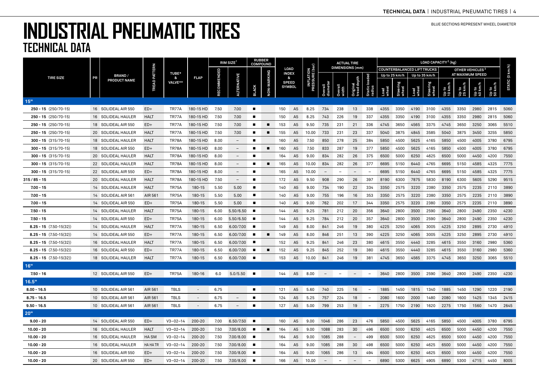|                           |    | <b>BRAND/</b><br>PRODUCT NAME | PATTERN         | <b>TUBE*</b><br>& | <b>FLAP</b> | RIM SIZE |                          | <b>RUBBER</b><br><b>COMPOUND</b> |                |     |                               | ar)                              |                          |                          | <b>ACTUAL TIRE</b>       |                          | LOAD CAPACITY <sup>2</sup> (kg) |                   |                                    |                   |                             |                |                  |      |                 |
|---------------------------|----|-------------------------------|-----------------|-------------------|-------------|----------|--------------------------|----------------------------------|----------------|-----|-------------------------------|----------------------------------|--------------------------|--------------------------|--------------------------|--------------------------|---------------------------------|-------------------|------------------------------------|-------------------|-----------------------------|----------------|------------------|------|-----------------|
|                           |    |                               |                 |                   |             |          |                          |                                  |                |     | <b>LOAD</b><br><b>INDEX</b>   |                                  |                          | <b>DIMENSIONS</b> (mm)   |                          |                          |                                 |                   | <b>COUNTERBALANCED LIFT TRUCKS</b> |                   | OTHER VEHICLES <sup>3</sup> |                |                  |      |                 |
| <b>TIRE SIZE</b>          | PR |                               |                 |                   |             |          |                          |                                  |                | &   |                               | <b>INFLATION</b><br>PRESSURE (ba |                          |                          |                          |                          |                                 | Up to 25 km/h     |                                    | Up to 35 km/h     |                             |                | AT MAXIMUM SPEED |      |                 |
|                           |    |                               | TREAD I         | VALVE**           |             |          | <b>ALTERNATIVE</b>       | <b>BLACK</b>                     | NON-MARKING    |     | <b>SPEED</b><br><b>SYMBOL</b> |                                  | Overall<br>diameter      |                          | Original<br>tread de     | Static loaded<br>radius  | Load<br>wheel                   | Steering<br>wheel | Load<br>wheel                      | Steering<br>wheel | 10 km<br>10 km              | Up to<br>25 km | Up to<br>40 km/h |      | STATIC (0 km/h) |
| 15"                       |    |                               |                 |                   |             |          |                          |                                  |                |     |                               |                                  |                          |                          |                          |                          |                                 |                   |                                    |                   |                             |                |                  |      |                 |
| $250 - 15$ (250/70-15)    |    | 16 SOLIDEAL AIR 550           | $ED+$           | TR77A             | 180-15 HD   | 7.50     | 7.00                     | $\blacksquare$                   |                | 150 | A <sub>5</sub>                | 8.25                             | 734                      | 238                      | 13                       | 338                      | 4355                            | 3350              | 4190                               | 3100              | 4355                        | 3350           | 2980             | 2815 | 5060            |
| $250 - 15$ (250/70-15)    |    | 16 SOLIDEAL HAULER            | <b>HALT</b>     | TR77A             | 180-15 HD   | 7.50     | 7.00                     | п                                |                | 150 | A <sub>5</sub>                | 8.25                             | 743                      | 226                      | 19                       | 337                      | 4355                            | 3350              | 4190                               | 3100              | 4355                        | 3350           | 2980             | 2815 | 5060            |
| $250 - 15$ (250/70-15)    |    | 18 SOLIDEAL AIR 550           | $ED+$           | TR77A             | 180-15 HD   | 7.50     | 7.00                     | п                                | п              | 153 | A <sub>5</sub>                | 9.50                             | 735                      | 231                      | 21                       | 336                      | 4745                            | 3650              | 4565                               | 3375              | 4745                        | 3650           | 3250             | 3065 | 5510            |
| $250 - 15$ (250/70-15)    |    | 20 SOLIDEAL HAULER            | HALT            | TR77A             | 180-15 HD   | 7.50     | 7.00                     | п                                | ■              | 155 | A <sub>5</sub>                | 10.00                            | 733                      | 231                      | 23                       | 337                      | 5040                            | 3875              | 4845                               | 3585              | 5040                        | 3875           | 3450             | 3255 | 5850            |
| $300 - 15$ (315/70-15)    |    | 18 SOLIDEAL HAULER            | <b>HALT</b>     | <b>TR78A</b>      | 180-15 HD   | 8.00     | $\overline{\phantom{0}}$ | п                                |                | 160 | A <sub>5</sub>                | 7.50                             | 850                      | 278                      | 25                       | 384                      | 5850                            | 4500              | 5625                               | 4165              | 5850                        | 4500           | 4005             | 3780 | 6795            |
| $300 - 15$ (315/70-15)    |    | 18 SOLIDEAL AIR 550           | $ED+$           | <b>TR78A</b>      | 180-15 HD   | 8.00     | $\overline{\phantom{a}}$ | п                                | $\blacksquare$ | 160 | A <sub>5</sub>                | 7.50                             | 833                      | 287                      | 19                       | 377                      | 5850                            | 4500              | 5625                               | 4165              | 5850                        | 4500           | 4005             | 3780 | 6795            |
| $300 - 15$ (315/70-15)    |    | 20 SOLIDEAL HAULER            | <b>HALT</b>     | <b>TR78A</b>      | 180-15 HD   | 8.00     | $\overline{\phantom{a}}$ | п                                |                | 164 | A <sub>5</sub>                | 9.00                             | 834                      | 282                      | 26                       | 375                      | 6500                            | 5000              | 6250                               | 4625              | 6500                        | 5000           | 4450             | 4200 | 7550            |
| $300 - 15$ (315/70-15)    |    | 22 SOLIDEAL HAULER            | <b>HALT</b>     | <b>TR78A</b>      | 180-15 HD   | 8.00     | $\qquad \qquad -$        | п                                | п              | 165 | A <sub>5</sub>                | 10.00                            | 834                      | 282                      | 26                       | 377                      | 6695                            | 5150              | 6440                               | 4765              | 6695                        | 5150           | 4585             | 4325 | 7775            |
| $300 - 15$ (315/70-15)    |    | 22 SOLIDEAL AIR 550           | $ED+$           | <b>TR78A</b>      | 180-15 HD   | 8.00     | $\overline{\phantom{0}}$ | п                                |                | 165 | A <sub>5</sub>                | 10.00                            | $\qquad \qquad -$        | $\overline{\phantom{a}}$ | $\overline{\phantom{a}}$ | $\overline{\phantom{a}}$ | 6695                            | 5150              | 6440                               | 4765              | 6695                        | 5150           | 4585             | 4325 | 7775            |
| 315/85-15                 |    | 20 SOLIDEAL HAULER            | <b>HALT</b>     | TR78A             | 180-15 HD   | 7.50     | $\overline{\phantom{a}}$ | п                                |                | 172 | A <sub>5</sub>                | 9.50                             | 908                      | 290                      | 26                       | 397                      | 8190                            | 6300              | 7875                               | 5830              | 8190                        | 6300           | 5605             | 5290 | 9515            |
| $7.00 - 15$               |    | 14 SOLIDEAL HAULER            | <b>HALT</b>     | <b>TR75A</b>      | 180-15      | 5.50     | 5.00                     | п                                |                | 140 | A <sub>5</sub>                | 9.00                             | 734                      | 190                      | 22                       | 334                      | 3350                            | 2575              | 3220                               | 2380              | 3350                        | 2575           | 2235             | 2110 | 3890            |
| $7.00 - 15$               |    | 14 SOLIDEAL AIR 561           | AIR 561         | <b>TR75A</b>      | 180-15      | 5.50     | 5.00                     | п                                |                | 140 | A <sub>5</sub>                | 9.00                             | 755                      | 196                      | 16                       | 353                      | 3350                            | 2575              | 3220                               | 2380              | 3350                        | 2575           | 2235             | 2110 | 3890            |
| $7.00 - 15$               |    | 14 SOLIDEAL AIR 550           | $ED+$           | <b>TR75A</b>      | 180-15      | 5.50     | 5.00                     | п                                |                | 140 | A <sub>5</sub>                | 9.00                             | 762                      | 202                      | 17                       | 344                      | 3350                            | 2575              | 3220                               | 2380              | 3350                        | 2575           | 2235             | 2110 | 3890            |
| $7.50 - 15$               |    | 14 SOLIDEAL HAULER            | <b>HALT</b>     | <b>TR75A</b>      | 180-15      | 6.00     | 5.50/6.50                | п                                |                | 144 | A <sub>5</sub>                | 9.25                             | 781                      | 212                      | 20                       | 356                      | 3640                            | 2800              | 3500                               | 2590              | 3640                        | 2800           | 2490             | 2350 | 4230            |
| $7.50 - 15$               |    | 14 SOLIDEAL AIR 550           | $ED+$           | <b>TR75A</b>      | 180-15      | 6.00     | 5.50/6.50                | п                                |                | 144 | A <sub>5</sub>                | 9.25                             | 784                      | 212                      | 20                       | 357                      | 3640                            | 2800              | 3500                               | 2590              | 3640                        | 2800           | 2490             | 2350 | 4230            |
| $8.25 - 15$ (7.50-15(32)) |    | 14 SOLIDEAL HAULER            | <b>HALT</b>     | <b>TR77A</b>      | 180-15      | 6.50     | 6.00/7.00                | п                                |                | 149 | A <sub>5</sub>                | 8.00                             | 841                      | 246                      | 19                       | 380                      | 4225                            | 3250              | 4065                               | 3005              | 4225                        | 3250           | 2895             | 2730 | 4910            |
| $8.25 - 15$ (7.50-15(32)) |    | 14 SOLIDEAL AIR 550           | $ED+$           | TR77A             | 180-15      | 6.50     | 6.00/7.00                | п                                | ٠              | 149 | A <sub>5</sub>                | 8.00                             | 846                      | 251                      | 13                       | 390                      | 4225                            | 3250              | 4065                               | 3005              | 4225                        | 3250           | 2895             | 2730 | 4910            |
| $8.25 - 15$ (7.50-15(32)) |    | 16 SOLIDEAL HAULER            | HALT            | TR77A             | 180-15      | 6.50     | 6.00/7.00                |                                  |                | 152 | A <sub>5</sub>                | 9.25                             | 841                      | 246                      | 23                       | 380                      | 4615                            | 3550              | 4440                               | 3285              | 4615                        | 3550           | 3160             | 2980 | 5360            |
| $8.25 - 15$ (7.50-15(32)) |    | 16 SOLIDEAL AIR 550           | $ED+$           | TR77A             | 180-15      | 6.50     | 6.00/7.00                |                                  | п              | 152 | A <sub>5</sub>                | 9.25                             | 845                      | 252                      | 19                       | 380                      | 4615                            | 3550              | 4440                               | 3285              | 4615                        | 3550           | 3160             | 2980 | 5360            |
| $8.25 - 15$ (7.50-15(32)) |    | 18 SOLIDEAL HAULER            | <b>HALT</b>     | TR77A             | 180-15      | 6.50     | 6.00/7.00                | п                                |                | 153 | A <sub>5</sub>                | 10.00                            | 841                      | 246                      | 19                       | 381                      | 4745                            | 3650              | 4565                               | 3375              | 4745                        | 3650           | 3250             | 3065 | 5510            |
| 16"                       |    |                               |                 |                   |             |          |                          |                                  |                |     |                               |                                  |                          |                          |                          |                          |                                 |                   |                                    |                   |                             |                |                  |      |                 |
| $7.50 - 16$               |    | 12 SOLIDEAL AIR 550           | $ED+$           | <b>TR75A</b>      | 180-16      | 6.0      | 5.0/5.50                 | п                                |                | 144 | A <sub>5</sub>                | 8.00                             | $\overline{\phantom{a}}$ | $\sim$                   | $ \,$                    | $\overline{\phantom{a}}$ | 3640                            | 2800              | 3500                               | 2590              | 3640                        | 2800           | 2490             | 2350 | 4230            |
| 16.5"                     |    |                               |                 |                   |             |          |                          |                                  |                |     |                               |                                  |                          |                          |                          |                          |                                 |                   |                                    |                   |                             |                |                  |      |                 |
| $8.00 - 16.5$             |    | 10 SOLIDEAL AIR 561           | AIR 561         | <b>TBLS</b>       |             | 6.75     |                          | $\blacksquare$                   |                | 121 | A <sub>5</sub>                | 5.60                             | 740                      | 225                      | 16                       | $\overline{\phantom{m}}$ | 1885                            | 1450              | 1815                               | 1340              | 1885                        | 1450           | 1290             | 1220 | 2190            |
| $8.75 - 16.5$             |    | 10 SOLIDEAL AIR 561           | AIR 561         | <b>TBLS</b>       | $\sim$      | 6.75     | $\equiv$                 | $\blacksquare$                   |                | 124 | A <sub>5</sub>                | 5.25                             | 757                      | 224                      | 18                       | $\overline{\phantom{a}}$ | 2080                            | 1600              | 2000                               | 1480              | 2080                        | 1600           | 1425             | 1345 | 2415            |
| $9.50 - 16.5$             |    | 10 SOLIDEAL AIR 561           | AIR 561         | <b>TBLS</b>       | $\sim$      | 6.75     | $\overline{\phantom{a}}$ | $\blacksquare$                   |                | 127 | A <sub>5</sub>                | 5.00                             | 799                      | 253                      | 19                       | $\overline{\phantom{a}}$ | 2275                            | 1750              | 2190                               | 1620              | 2275                        | 1750           | 1560             | 1470 | 2645            |
| 20"                       |    |                               |                 |                   |             |          |                          |                                  |                |     |                               |                                  |                          |                          |                          |                          |                                 |                   |                                    |                   |                             |                |                  |      |                 |
| $9.00 - 20$               |    | 14 SOLIDEAL AIR 550           | $ED+$           | $V3 - 02 - 14$    | $200 - 20$  | 7.00     | 6.50/7.50                | п                                |                | 160 | A <sub>5</sub>                | 9.00                             | 1046                     | 286                      | 23                       | 476                      | 5850                            | 4500              | 5625                               | 4165              | 5850                        | 4500           | 4005             | 3780 | 6795            |
| $10.00 - 20$              |    | 16 SOLIDEAL HAULER            | <b>HALT</b>     | $V3 - 02 - 14$    | 200-20      | 7.50     | 7,00/8,00                | п                                | ■              | 164 | A <sub>5</sub>                | 9.00                             | 1088                     | 283                      | 30                       | 496                      | 6500                            | 5000              | 6250                               | 4625              | 6500                        | 5000           | 4450             | 4200 | 7550            |
| $10.00 - 20$              |    | 16 SOLIDEAL HAULER            | HA SM           | $V3 - 02 - 14$    | 200-20      | 7.50     | 7.00/8.00                | п                                |                | 164 | A <sub>5</sub>                | 9.00                             | 1085                     | 288                      | $\overline{\phantom{a}}$ | 499                      | 6500                            | 5000              | 6250                               | 4625              | 6500                        | 5000           | 4450             | 4200 | 7550            |
| $10.00 - 20$              |    | 16 SOLIDEAL HAULER            | <b>HA HA TR</b> | $V3 - 02 - 14$    | 200-20      | 7.50     | 7.00/8.00                | п                                |                | 164 | A <sub>5</sub>                | 9.00                             | 1085                     | 288                      | 30                       | 498                      | 6500                            | 5000              | 6250                               | 4625              | 6500                        | 5000           | 4450             | 4200 | 7550            |
| $10.00 - 20$              |    | 16 SOLIDEAL AIR 550           | $ED+$           | $V3 - 02 - 14$    | 200-20      | 7.50     | 7.00/8.00                | п                                |                | 164 | A <sub>5</sub>                | 9.00                             | 1065                     | 286                      | 13                       | 494                      | 6500                            | 5000              | 6250                               | 4625              | 6500                        | 5000           | 4450             | 4200 | 7550            |
| $10.00 - 20$              |    | 20 SOLIDEAL AIR 550           | $ED+$           | $V3 - 02 - 14$    | $200 - 20$  | 7.50     | 7.00/8.00                |                                  |                | 166 | A <sub>5</sub>                | 10.00                            | $\overline{\phantom{a}}$ | $\equiv$                 | $\equiv$                 | $\overline{a}$           | 6890                            | 5300              | 6625                               | 4905              | 6890                        | 5300           | 4715             | 4450 | 8005            |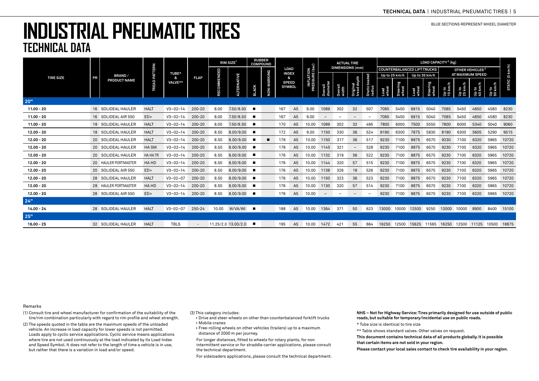# **INDUSTRIAL PNEUMATIC TIRES TECHNICAL DATA**

|                  |    | <b>BRAND/</b><br>PRODUCT NAME |             |                       |                          |             | $RIM$ SIZE <sup>1</sup> |                | <b>RUBBER</b><br><b>COMPOUND</b> |                             |                               |                                     |                          |                          | <b>ACTUAL TIRE</b>       |                         | LOAD CAPACITY <sup>2</sup> (kg)    |                   |               |                   |                             |                  |                  |                  |                 |
|------------------|----|-------------------------------|-------------|-----------------------|--------------------------|-------------|-------------------------|----------------|----------------------------------|-----------------------------|-------------------------------|-------------------------------------|--------------------------|--------------------------|--------------------------|-------------------------|------------------------------------|-------------------|---------------|-------------------|-----------------------------|------------------|------------------|------------------|-----------------|
|                  |    |                               | PATTERN     |                       |                          |             |                         |                |                                  | <b>LOAD</b><br><b>INDEX</b> |                               | <b>INFLATION<br/>PRESSURE (bar)</b> |                          |                          | <b>DIMENSIONS</b> (mm)   |                         | <b>COUNTERBALANCED LIFT TRUCKS</b> |                   |               |                   | OTHER VEHICLES <sup>3</sup> |                  |                  |                  |                 |
| <b>TIRE SIZE</b> | PR |                               |             | TUBE*<br>&<br>VALVE** | <b>FLAP</b>              |             |                         |                |                                  | &                           |                               |                                     |                          |                          |                          |                         |                                    | Up to 25 km/h     |               | Up to 35 km/h     |                             | AT MAXIMUM SPEED |                  |                  |                 |
|                  |    |                               | TREAD       |                       |                          | RECOMMENDED | <b>ALTERNATIVE</b>      | <b>BLACK</b>   | NON-MARKING                      |                             | <b>SPEED</b><br><b>SYMBOL</b> |                                     | Overall<br>diameter      | Overall<br>width         | Original<br>tread depth  | Static loaded<br>radius | Load<br>wheel                      | Steering<br>wheel | Load<br>wheel | Steering<br>wheel | Up to<br>10 km/h            | Up to<br>25 km/h | Սբ to<br>40 km/h | Up to<br>50 km/h | STATIC (0 km/h) |
| 20"              |    |                               |             |                       |                          |             |                         |                |                                  |                             |                               |                                     |                          |                          |                          |                         |                                    |                   |               |                   |                             |                  |                  |                  |                 |
| $11.00 - 20$     |    | 16 SOLIDEAL HAULER            | <b>HALT</b> | $V3 - 02 - 14$        | 200-20                   | 8.00        | 7.50/8.50               | $\blacksquare$ |                                  | 167                         | A5                            | 9.00                                | 1089                     | 302                      | 32                       | 507                     | 7085                               | 5450              | 6815          | 5040              | 7085                        | 5450             | 4850             | 4580             | 8230            |
| $11.00 - 20$     |    | 16 SOLIDEAL AIR 550           | $ED+$       | $V3 - 02 - 14$        | 200-20                   | 8.00        | 7.50/8.50               |                |                                  | 167                         | A <sub>5</sub>                | 9.00                                |                          | $\overline{\phantom{a}}$ | $\overline{\phantom{a}}$ |                         | 7085                               | 5450              | 6815          | 5040              | 7085                        | 5450             | 4850             | 4580             | 8230            |
| $11.00 - 20$     |    | 18 SOLIDEAL HAULER            | <b>HALT</b> | $V3 - 02 - 14$        | 200-20                   | 8.00        | 7.50/8.50               |                |                                  | 170                         | A5                            | 10.00                               | 1089                     | 302                      | 32                       | 495                     | 7800                               | 6000              | 7500          | 5550              | 7800                        | 6000             | 5340             | 5040             | 9060            |
| $12.00 - 20$     |    | 18 SOLIDEAL HAULER            | <b>HALT</b> | $V3 - 02 - 14$        | 200-20                   | 8.50        | 8.00/9.00               | п              |                                  | 172                         | A <sub>5</sub>                | 9.00                                | 1150                     | 330                      | 36                       | 524                     | 8190                               | 6300              | 7875          | 5830              | 8190                        | 6300             | 5605             | 5290             | 9515            |
| $12.00 - 20$     |    | 20 SOLIDEAL HAULER            | <b>HALT</b> | $V3 - 02 - 14$        | 200-20                   | 8.50        | 8.00/9.00               |                | п                                | 176                         | A <sub>5</sub>                | 10.00                               | 1150                     | 317                      | 36                       | 517                     | 9230                               | 7100              | 8875          | 6570              | 9230                        | 7100             | 6320             | 5965             | 10720           |
| $12.00 - 20$     |    | 20 SOLIDEAL HAULER            | HA SM       | $V3 - 02 - 14$        | 200-20                   | 8.50        | 8.00/9.00               | $\blacksquare$ |                                  | 176                         | A5                            | 10.00                               | 1145                     | 321                      | $\overline{\phantom{a}}$ | 528                     | 9230                               | 7100              | 8875          | 6570              | 9230                        | 7100             | 6320             | 5965             | 10720           |
| $12.00 - 20$     |    | 20 SOLIDEAL HAULER            | HA HA TR    | $V3 - 02 - 14$        | 200-20                   | 8.50        | 8.00/9.00               | п              |                                  | 176                         | A <sub>5</sub>                | 10.00                               | 1132                     | 319                      | 36                       | 522                     | 9230                               | 7100              | 8875          | 6570              | 9230                        | 7100             | 6320             | 5965             | 10720           |
| $12.00 - 20$     |    | 20 HAULER PORTMASTER          | HA HD       | $V3 - 02 - 14$        | 200-20                   | 8.50        | 8.00/9.00               | п              |                                  | 176                         | A <sub>5</sub>                | 10.00                               | 1144                     | 320                      | 57                       | 515                     | 9230                               | 7100              | 8875          | 6570              | 9230                        | 7100             | 6320             | 5965             | 10720           |
| $12.00 - 20$     |    | 20 SOLIDEAL AIR 550           | $ED+$       | $V3 - 02 - 14$        | 200-20                   | 8.50        | 8.00/9.00               | $\blacksquare$ |                                  | 176                         | A5                            | 10.00                               | 1138                     | 326                      | 18                       | 526                     | 9230                               | 7100              | 8875          | 6570              | 9230                        | 7100             | 6320             | 5965             | 10720           |
| $12.00 - 20$     |    | 28 SOLIDEAL HAULER            | <b>HALT</b> | $V3 - 02 - 07$        | 200-20                   | 8.50        | 8.00/9.00               | $\blacksquare$ |                                  | 176                         | A5                            | 10.00                               | 1150                     | 323                      | 36                       | 523                     | 9230                               | 7100              | 8875          | 6570              | 9230                        | 7100             | 6320             | 5965             | 10720           |
| $12.00 - 20$     |    | 28 HAULER PORTMASTER          | HA HD       | $V3 - 02 - 14$        | 200-20                   | 8.50        | 8.00/9.00               | л              |                                  | 176                         | A5                            | 10.00                               | 1130                     | 320                      | 57                       | 514                     | 9230                               | 7100              | 8875          | 6570              | 9230                        | 7100             | 6320             | 5965             | 10720           |
| $12.00 - 20$     |    | 28 SOLIDEAL AIR 550           | $ED+$       | $V3 - 02 - 14$        | 200-20                   | 8.50        | 8.00/9.00               | п              |                                  | 176                         | A5                            | 10.00                               | $\overline{\phantom{0}}$ | $\overline{\phantom{a}}$ | $-$                      | $\qquad \qquad$         | 9230                               | 7100              | 8875          | 6570              | 9230                        | 7100             | 6320             | 5965             | 10720           |
| 24"              |    |                               |             |                       |                          |             |                         |                |                                  |                             |                               |                                     |                          |                          |                          |                         |                                    |                   |               |                   |                             |                  |                  |                  |                 |
| $14.00 - 24$     |    | 28 SOLIDEAL HAULER            | <b>HALT</b> | $V3 - 02 - 07$        | 250-24                   | 10.00       | W/VA/WI                 | $\blacksquare$ |                                  | 188                         | A <sub>5</sub>                | 10.00                               | 1364                     | 371                      | 50                       | 623                     | 13000                              | 10000             | 12500         | 9250              | 13000                       | 10000            | 8900             | 8400             | 15100           |
| 25"              |    |                               |             |                       |                          |             |                         |                |                                  |                             |                               |                                     |                          |                          |                          |                         |                                    |                   |               |                   |                             |                  |                  |                  |                 |
| $16.00 - 25$     |    | 32 SOLIDEAL HAULER            | <b>HALT</b> | <b>TBLS</b>           | $\overline{\phantom{a}}$ |             | 11.25/2.0 13.00/2.0     | п              |                                  | 195                         | A5                            | 10.00                               | 1472                     | 421                      | 55                       | 664                     | 16250                              | 12500             |               | 15625 11565       | 16250                       | 12500 11125      |                  | 10500            | 18875           |

Remarks

(1) Consult tire and wheel manufacturer for confirmation of the suitability of the tire/rim combination particularly with regard to rim profile and wheel strength.

(2) The speeds quoted in the table are the maximum speeds of the unloaded vehicle. An increase in load capacity for lower speeds is not permitted. Loads apply to cyclic service applications. Cyclic service means applications where tire are not used continuously at the load indicated by its Load Index and Speed Symbol. It does not refer to the length of time a vehicle is in use, but rather that there is a variation in load and/or speed.

(3) This category includes:

- Drive and steer wheels on other than counterbalanced forklift trucks • Mobile cranes
- Free-rolling wheels on other vehicles (trailers) up to a maximum distance of 2000 m per journey.

 For longer distances, fitted to wheels for rotary plants, for non intermittent service or for straddle carrier applications, please consult the technical department.

For sideloaders applications, please consult the technical department.

**NHS – Not for Highway Service: Tires primarily designed for use outside of public roads, but suitable for temporary/incidental use on public roads.**

- \* Tube size is identical to tire size
- \*\* Table shows standard valves. Other valves on request.

**This document contains technical data of all products globally. It is possible that certain items are not sold in your region.**

**Please contact your local sales contact to check tire availability in your region.**